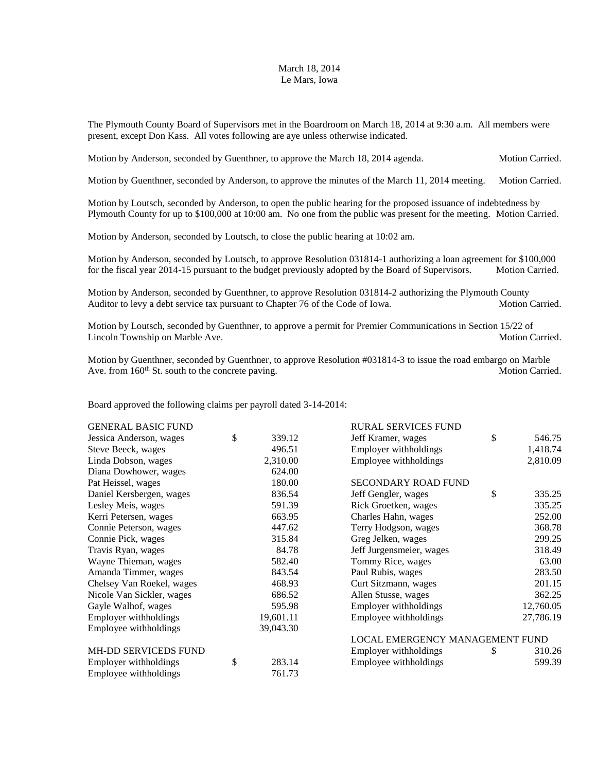## March 18, 2014 Le Mars, Iowa

The Plymouth County Board of Supervisors met in the Boardroom on March 18, 2014 at 9:30 a.m. All members were present, except Don Kass. All votes following are aye unless otherwise indicated.

Motion by Anderson, seconded by Guenthner, to approve the March 18, 2014 agenda. Motion Carried.

Motion by Guenthner, seconded by Anderson, to approve the minutes of the March 11, 2014 meeting. Motion Carried.

Motion by Loutsch, seconded by Anderson, to open the public hearing for the proposed issuance of indebtedness by Plymouth County for up to \$100,000 at 10:00 am. No one from the public was present for the meeting. Motion Carried.

Motion by Anderson, seconded by Loutsch, to close the public hearing at 10:02 am.

Motion by Anderson, seconded by Loutsch, to approve Resolution 031814-1 authorizing a loan agreement for \$100,000 for the fiscal year 2014-15 pursuant to the budget previously adopted by the Board of Supervisors. Motion Carried.

Motion by Anderson, seconded by Guenthner, to approve Resolution 031814-2 authorizing the Plymouth County Auditor to levy a debt service tax pursuant to Chapter 76 of the Code of Iowa. Motion Carried.

Motion by Loutsch, seconded by Guenthner, to approve a permit for Premier Communications in Section 15/22 of Lincoln Township on Marble Ave.  $\blacksquare$ 

Motion by Guenthner, seconded by Guenthner, to approve Resolution #031814-3 to issue the road embargo on Marble Ave. from 160<sup>th</sup> St. south to the concrete paving. Motion Carried. Motion Carried.

Board approved the following claims per payroll dated 3-14-2014:

| <b>GENERAL BASIC FUND</b> |              | <b>RURAL SERVICES FUND</b>      |    |           |
|---------------------------|--------------|---------------------------------|----|-----------|
| Jessica Anderson, wages   | \$<br>339.12 | Jeff Kramer, wages              | \$ | 546.75    |
| Steve Beeck, wages        | 496.51       | Employer withholdings           |    | 1,418.74  |
| Linda Dobson, wages       | 2,310.00     | Employee withholdings           |    | 2,810.09  |
| Diana Dowhower, wages     | 624.00       |                                 |    |           |
| Pat Heissel, wages        | 180.00       | <b>SECONDARY ROAD FUND</b>      |    |           |
| Daniel Kersbergen, wages  | 836.54       | Jeff Gengler, wages             | \$ | 335.25    |
| Lesley Meis, wages        | 591.39       | Rick Groetken, wages            |    | 335.25    |
| Kerri Petersen, wages     | 663.95       | Charles Hahn, wages             |    | 252.00    |
| Connie Peterson, wages    | 447.62       | Terry Hodgson, wages            |    | 368.78    |
| Connie Pick, wages        | 315.84       | Greg Jelken, wages              |    | 299.25    |
| Travis Ryan, wages        | 84.78        | Jeff Jurgensmeier, wages        |    | 318.49    |
| Wayne Thieman, wages      | 582.40       | Tommy Rice, wages               |    | 63.00     |
| Amanda Timmer, wages      | 843.54       | Paul Rubis, wages               |    | 283.50    |
| Chelsey Van Roekel, wages | 468.93       | Curt Sitzmann, wages            |    | 201.15    |
| Nicole Van Sickler, wages | 686.52       | Allen Stusse, wages             |    | 362.25    |
| Gayle Walhof, wages       | 595.98       | Employer withholdings           |    | 12,760.05 |
| Employer withholdings     | 19,601.11    | Employee withholdings           |    | 27,786.19 |
| Employee withholdings     | 39,043.30    |                                 |    |           |
|                           |              | LOCAL EMERGENCY MANAGEMENT FUND |    |           |
| MH-DD SERVICEDS FUND      |              | Employer withholdings           | \$ | 310.26    |
| Employer withholdings     | \$<br>283.14 | Employee withholdings           |    | 599.39    |
| Employee withholdings     | 761.73       |                                 |    |           |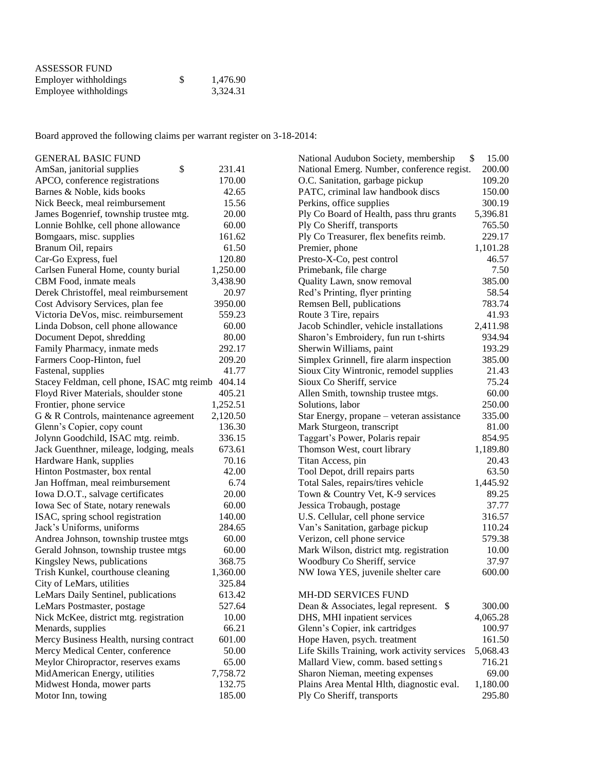| <b>ASSESSOR FUND</b>  |    |          |
|-----------------------|----|----------|
| Employer withholdings | -S | 1,476.90 |
| Employee withholdings |    | 3,324.31 |

Board approved the following claims per warrant register on 3-18-2014:

| <b>GENERAL BASIC FUND</b>                         |          | National Audubon Society, membership         | \$<br>15.00 |
|---------------------------------------------------|----------|----------------------------------------------|-------------|
| \$<br>AmSan, janitorial supplies                  | 231.41   | National Emerg. Number, conference regist.   | 200.00      |
| APCO, conference registrations                    | 170.00   | O.C. Sanitation, garbage pickup              | 109.20      |
| Barnes & Noble, kids books                        | 42.65    | PATC, criminal law handbook discs            | 150.00      |
| Nick Beeck, meal reimbursement                    | 15.56    | Perkins, office supplies                     | 300.19      |
| James Bogenrief, township trustee mtg.            | 20.00    | Ply Co Board of Health, pass thru grants     | 5,396.81    |
| Lonnie Bohlke, cell phone allowance               | 60.00    | Ply Co Sheriff, transports                   | 765.50      |
| Bomgaars, misc. supplies                          | 161.62   | Ply Co Treasurer, flex benefits reimb.       | 229.17      |
| Branum Oil, repairs                               | 61.50    | Premier, phone                               | 1,101.28    |
| Car-Go Express, fuel                              | 120.80   | Presto-X-Co, pest control                    | 46.57       |
| Carlsen Funeral Home, county burial               | 1,250.00 | Primebank, file charge                       | 7.50        |
| CBM Food, inmate meals                            | 3,438.90 | Quality Lawn, snow removal                   | 385.00      |
| Derek Christoffel, meal reimbursement             | 20.97    | Red's Printing, flyer printing               | 58.54       |
| Cost Advisory Services, plan fee                  | 3950.00  | Remsen Bell, publications                    | 783.74      |
| Victoria DeVos, misc. reimbursement               | 559.23   | Route 3 Tire, repairs                        | 41.93       |
| Linda Dobson, cell phone allowance                | 60.00    | Jacob Schindler, vehicle installations       | 2,411.98    |
| Document Depot, shredding                         | 80.00    | Sharon's Embroidery, fun run t-shirts        | 934.94      |
| Family Pharmacy, inmate meds                      | 292.17   | Sherwin Williams, paint                      | 193.29      |
| Farmers Coop-Hinton, fuel                         | 209.20   | Simplex Grinnell, fire alarm inspection      | 385.00      |
| Fastenal, supplies                                | 41.77    | Sioux City Wintronic, remodel supplies       | 21.43       |
| Stacey Feldman, cell phone, ISAC mtg reimb 404.14 |          | Sioux Co Sheriff, service                    | 75.24       |
| Floyd River Materials, shoulder stone             | 405.21   | Allen Smith, township trustee mtgs.          | 60.00       |
| Frontier, phone service                           | 1,252.51 | Solutions, labor                             | 250.00      |
| G & R Controls, maintenance agreement             | 2,120.50 | Star Energy, propane - veteran assistance    | 335.00      |
| Glenn's Copier, copy count                        | 136.30   | Mark Sturgeon, transcript                    | 81.00       |
| Jolynn Goodchild, ISAC mtg. reimb.                | 336.15   | Taggart's Power, Polaris repair              | 854.95      |
| Jack Guenthner, mileage, lodging, meals           | 673.61   | Thomson West, court library                  | 1,189.80    |
| Hardware Hank, supplies                           | 70.16    | Titan Access, pin                            | 20.43       |
| Hinton Postmaster, box rental                     | 42.00    | Tool Depot, drill repairs parts              | 63.50       |
| Jan Hoffman, meal reimbursement                   | 6.74     | Total Sales, repairs/tires vehicle           | 1,445.92    |
| Iowa D.O.T., salvage certificates                 | 20.00    | Town & Country Vet, K-9 services             | 89.25       |
| Iowa Sec of State, notary renewals                | 60.00    | Jessica Trobaugh, postage                    | 37.77       |
| ISAC, spring school registration                  | 140.00   | U.S. Cellular, cell phone service            | 316.57      |
| Jack's Uniforms, uniforms                         | 284.65   | Van's Sanitation, garbage pickup             | 110.24      |
| Andrea Johnson, township trustee mtgs             | 60.00    | Verizon, cell phone service                  | 579.38      |
| Gerald Johnson, township trustee mtgs             | 60.00    | Mark Wilson, district mtg. registration      | 10.00       |
| Kingsley News, publications                       | 368.75   | Woodbury Co Sheriff, service                 | 37.97       |
| Trish Kunkel, courthouse cleaning                 | 1,360.00 | NW Iowa YES, juvenile shelter care           | 600.00      |
| City of LeMars, utilities                         | 325.84   |                                              |             |
| LeMars Daily Sentinel, publications               | 613.42   | MH-DD SERVICES FUND                          |             |
| LeMars Postmaster, postage                        | 527.64   | Dean & Associates, legal represent. \$       | 300.00      |
| Nick McKee, district mtg. registration            | 10.00    | DHS, MHI inpatient services                  | 4,065.28    |
| Menards, supplies                                 | 66.21    | Glenn's Copier, ink cartridges               | 100.97      |
| Mercy Business Health, nursing contract           | 601.00   | Hope Haven, psych. treatment                 | 161.50      |
| Mercy Medical Center, conference                  | 50.00    | Life Skills Training, work activity services | 5,068.43    |
| Meylor Chiropractor, reserves exams               | 65.00    | Mallard View, comm. based setting s          | 716.21      |
| MidAmerican Energy, utilities                     | 7,758.72 | Sharon Nieman, meeting expenses              | 69.00       |
| Midwest Honda, mower parts                        | 132.75   | Plains Area Mental Hlth, diagnostic eval.    | 1,180.00    |
| Motor Inn, towing                                 | 185.00   | Ply Co Sheriff, transports                   | 295.80      |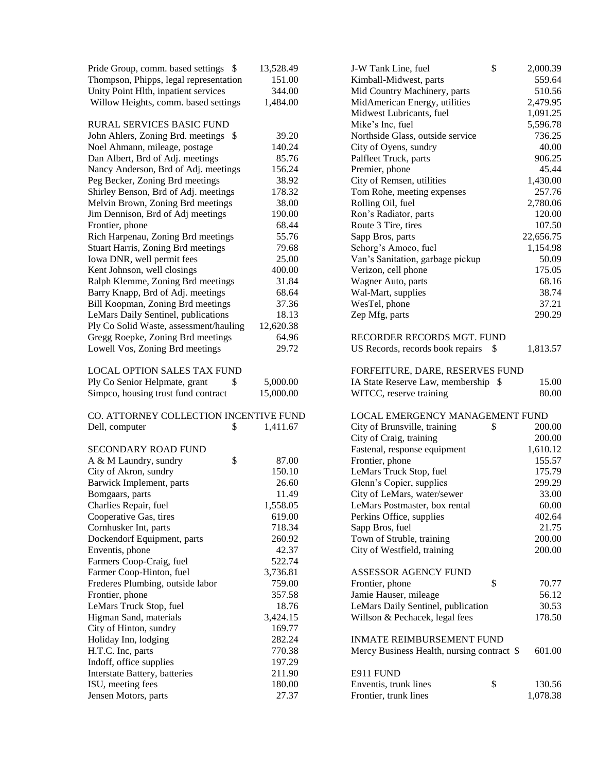| Pride Group, comm. based settings \$      | 13,528.49 | J-W Tank Line, fuel                        | \$<br>2,000.39 |
|-------------------------------------------|-----------|--------------------------------------------|----------------|
| Thompson, Phipps, legal representation    | 151.00    | Kimball-Midwest, parts                     | 559.64         |
| Unity Point Hlth, inpatient services      | 344.00    | Mid Country Machinery, parts               | 510.56         |
| Willow Heights, comm. based settings      | 1,484.00  | MidAmerican Energy, utilities              | 2,479.95       |
|                                           |           | Midwest Lubricants, fuel                   | 1,091.25       |
| <b>RURAL SERVICES BASIC FUND</b>          |           | Mike's Inc, fuel                           | 5,596.78       |
| John Ahlers, Zoning Brd. meetings \$      | 39.20     | Northside Glass, outside service           | 736.25         |
| Noel Ahmann, mileage, postage             | 140.24    | City of Oyens, sundry                      | 40.00          |
| Dan Albert, Brd of Adj. meetings          | 85.76     | Palfleet Truck, parts                      | 906.25         |
| Nancy Anderson, Brd of Adj. meetings      | 156.24    | Premier, phone                             | 45.44          |
| Peg Becker, Zoning Brd meetings           | 38.92     | City of Remsen, utilities                  | 1,430.00       |
| Shirley Benson, Brd of Adj. meetings      | 178.32    | Tom Rohe, meeting expenses                 | 257.76         |
| Melvin Brown, Zoning Brd meetings         | 38.00     | Rolling Oil, fuel                          | 2,780.06       |
| Jim Dennison, Brd of Adj meetings         | 190.00    | Ron's Radiator, parts                      | 120.00         |
| Frontier, phone                           | 68.44     | Route 3 Tire, tires                        | 107.50         |
| Rich Harpenau, Zoning Brd meetings        | 55.76     | Sapp Bros, parts                           | 22,656.75      |
| <b>Stuart Harris, Zoning Brd meetings</b> | 79.68     | Schorg's Amoco, fuel                       | 1,154.98       |
| Iowa DNR, well permit fees                | 25.00     | Van's Sanitation, garbage pickup           | 50.09          |
| Kent Johnson, well closings               | 400.00    | Verizon, cell phone                        | 175.05         |
| Ralph Klemme, Zoning Brd meetings         | 31.84     | Wagner Auto, parts                         | 68.16          |
| Barry Knapp, Brd of Adj. meetings         | 68.64     | Wal-Mart, supplies                         | 38.74          |
| Bill Koopman, Zoning Brd meetings         | 37.36     | WesTel, phone                              | 37.21          |
| LeMars Daily Sentinel, publications       | 18.13     | Zep Mfg, parts                             | 290.29         |
| Ply Co Solid Waste, assessment/hauling    | 12,620.38 |                                            |                |
| Gregg Roepke, Zoning Brd meetings         | 64.96     | RECORDER RECORDS MGT. FUND                 |                |
| Lowell Vos, Zoning Brd meetings           | 29.72     | US Records, records book repairs \$        | 1,813.57       |
| <b>LOCAL OPTION SALES TAX FUND</b>        |           | FORFEITURE, DARE, RESERVES FUND            |                |
| Ply Co Senior Helpmate, grant<br>\$       | 5,000.00  | IA State Reserve Law, membership \$        | 15.00          |
| Simpco, housing trust fund contract       | 15,000.00 | WITCC, reserve training                    | 80.00          |
| CO. ATTORNEY COLLECTION INCENTIVE FUND    |           | LOCAL EMERGENCY MANAGEMENT FUND            |                |
| Dell, computer<br>\$                      | 1,411.67  | City of Brunsville, training               | \$<br>200.00   |
|                                           |           | City of Craig, training                    | 200.00         |
| <b>SECONDARY ROAD FUND</b>                |           | Fastenal, response equipment               | 1,610.12       |
| \$<br>A & M Laundry, sundry               | 87.00     | Frontier, phone                            | 155.57         |
| City of Akron, sundry                     | 150.10    | LeMars Truck Stop, fuel                    | 175.79         |
| Barwick Implement, parts                  | 26.60     | Glenn's Copier, supplies                   | 299.29         |
| Bomgaars, parts                           | 11.49     | City of LeMars, water/sewer                | 33.00          |
| Charlies Repair, fuel                     | 1,558.05  | LeMars Postmaster, box rental              | 60.00          |
| Cooperative Gas, tires                    | 619.00    | Perkins Office, supplies                   | 402.64         |
| Cornhusker Int, parts                     | 718.34    | Sapp Bros, fuel                            | 21.75          |
| Dockendorf Equipment, parts               | 260.92    | Town of Struble, training                  | 200.00         |
| Enventis, phone                           | 42.37     | City of Westfield, training                | 200.00         |
| Farmers Coop-Craig, fuel                  | 522.74    |                                            |                |
| Farmer Coop-Hinton, fuel                  | 3,736.81  | ASSESSOR AGENCY FUND                       |                |
| Frederes Plumbing, outside labor          | 759.00    | Frontier, phone                            | \$<br>70.77    |
| Frontier, phone                           | 357.58    | Jamie Hauser, mileage                      | 56.12          |
| LeMars Truck Stop, fuel                   | 18.76     | LeMars Daily Sentinel, publication         | 30.53          |
| Higman Sand, materials                    | 3,424.15  | Willson & Pechacek, legal fees             | 178.50         |
| City of Hinton, sundry                    | 169.77    |                                            |                |
| Holiday Inn, lodging                      | 282.24    | <b>INMATE REIMBURSEMENT FUND</b>           |                |
| H.T.C. Inc, parts                         | 770.38    | Mercy Business Health, nursing contract \$ | 601.00         |
| Indoff, office supplies                   | 197.29    |                                            |                |
| Interstate Battery, batteries             | 211.90    | E911 FUND                                  |                |
| ISU, meeting fees                         | 180.00    | Enventis, trunk lines                      | \$<br>130.56   |
| Jensen Motors, parts                      | 27.37     | Frontier, trunk lines                      | 1,078.38       |
|                                           |           |                                            |                |